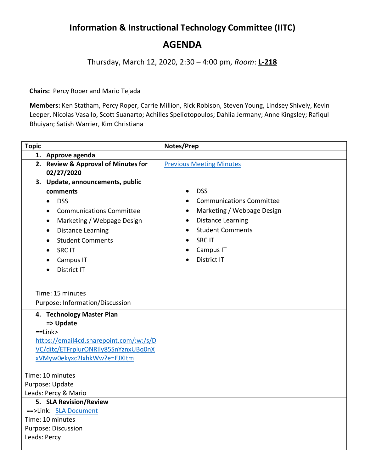## **Information & Instructional Technology Committee (IITC) AGENDA**

Thursday, March 12, 2020, 2:30 – 4:00 pm, *Room*: **L-218**

**Chairs:** Percy Roper and Mario Tejada

**Members:** Ken Statham, Percy Roper, Carrie Million, Rick Robison, Steven Young, Lindsey Shively, Kevin Leeper, Nicolas Vasallo, Scott Suanarto; Achilles Speliotopoulos; Dahlia Jermany; Anne Kingsley; Rafiqul Bhuiyan; Satish Warrier, Kim Christiana

| <b>Topic</b>                                                        | Notes/Prep                      |
|---------------------------------------------------------------------|---------------------------------|
| 1. Approve agenda                                                   |                                 |
| 2. Review & Approval of Minutes for                                 | <b>Previous Meeting Minutes</b> |
| 02/27/2020                                                          |                                 |
| 3. Update, announcements, public                                    |                                 |
| comments                                                            | <b>DSS</b>                      |
| <b>DSS</b><br>$\bullet$                                             | <b>Communications Committee</b> |
| <b>Communications Committee</b><br>$\bullet$                        | Marketing / Webpage Design      |
| Marketing / Webpage Design<br>$\bullet$                             | <b>Distance Learning</b>        |
| <b>Distance Learning</b><br>$\bullet$                               | <b>Student Comments</b>         |
| <b>Student Comments</b>                                             | <b>SRCIT</b>                    |
| <b>SRCIT</b>                                                        | Campus IT                       |
| Campus IT<br>$\bullet$                                              | District IT                     |
| District IT                                                         |                                 |
|                                                                     |                                 |
|                                                                     |                                 |
| Time: 15 minutes                                                    |                                 |
| Purpose: Information/Discussion                                     |                                 |
| 4. Technology Master Plan                                           |                                 |
| => Update                                                           |                                 |
| $=$ Link $>$                                                        |                                 |
| https://email4cd.sharepoint.com/:w:/s/D                             |                                 |
| VC/ditc/ETFrplurONRIly85SnYznxUBq0nX<br>xVMyw0ekyxc2IxhkWw?e=EJXItm |                                 |
|                                                                     |                                 |
| Time: 10 minutes                                                    |                                 |
| Purpose: Update                                                     |                                 |
| Leads: Percy & Mario                                                |                                 |
| 5. SLA Revision/Review                                              |                                 |
| ==>Link: SLA Document                                               |                                 |
| Time: 10 minutes                                                    |                                 |
| Purpose: Discussion                                                 |                                 |
| Leads: Percy                                                        |                                 |
|                                                                     |                                 |